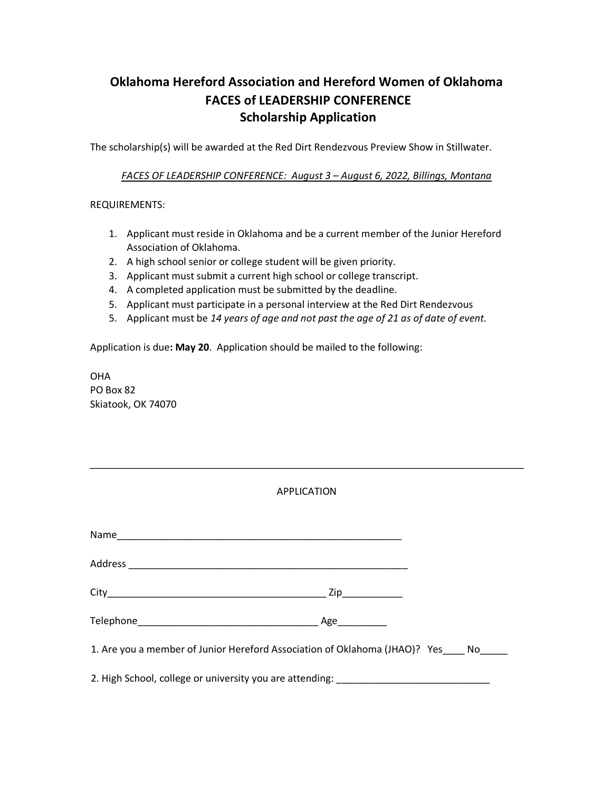## **Oklahoma Hereford Association and Hereford Women of Oklahoma FACES of LEADERSHIP CONFERENCE Scholarship Application**

The scholarship(s) will be awarded at the Red Dirt Rendezvous Preview Show in Stillwater.

*FACES OF LEADERSHIP CONFERENCE: August 3 – August 6, 2022, Billings, Montana*

REQUIREMENTS:

- 1. Applicant must reside in Oklahoma and be a current member of the Junior Hereford Association of Oklahoma.
- 2. A high school senior or college student will be given priority.
- 3. Applicant must submit a current high school or college transcript.
- 4. A completed application must be submitted by the deadline.
- 5. Applicant must participate in a personal interview at the Red Dirt Rendezvous
- 5. Applicant must be *14 years of age and not past the age of 21 as of date of event.*

Application is due**: May 20**. Application should be mailed to the following:

OHA PO Box 82 Skiatook, OK 74070

| <b>APPLICATION</b>                                                                |  |
|-----------------------------------------------------------------------------------|--|
|                                                                                   |  |
|                                                                                   |  |
|                                                                                   |  |
|                                                                                   |  |
| 1. Are you a member of Junior Hereford Association of Oklahoma (JHAO)? Yes No     |  |
| 2. High School, college or university you are attending: ________________________ |  |